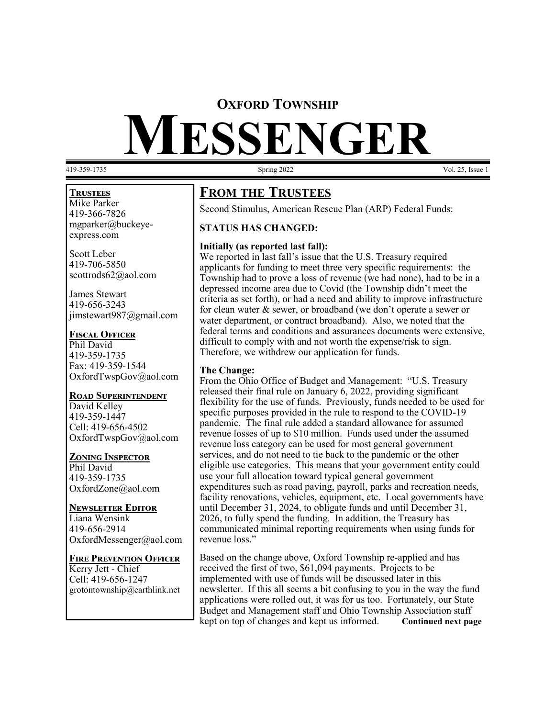## **OXFORD TOWNSHIP**

# **MESSENGER**

419-359-1735 Vol. 25, Issue 1

#### **Trustees**

Mike Parker 419-366-7826 mgparker@buckeyeexpress.com

Scott Leber 419-706-5850 scottrods62@aol.com

James Stewart 419-656-3243 jimstewart987@gmail.com

#### **Fiscal Officer**

Phil David 419-359-1735 Fax: 419-359-1544 OxfordTwspGov@aol.com

#### **Road Superintendent**

David Kelley 419-359-1447 Cell: 419-656-4502 OxfordTwspGov@aol.com

#### **Zoning Inspector**

Phil David 419-359-1735 OxfordZone@aol.com

#### **Newsletter Editor**

Liana Wensink 419-656-2914 OxfordMessenger@aol.com

#### **Fire Prevention Officer**

Kerry Jett - Chief Cell: 419-656-1247 grotontownship@earthlink.net

# **FROM THE TRUSTEES**

Second Stimulus, American Rescue Plan (ARP) Federal Funds:

#### **STATUS HAS CHANGED:**

#### **Initially (as reported last fall):**

We reported in last fall's issue that the U.S. Treasury required applicants for funding to meet three very specific requirements: the Township had to prove a loss of revenue (we had none), had to be in a depressed income area due to Covid (the Township didn't meet the criteria as set forth), or had a need and ability to improve infrastructure for clean water & sewer, or broadband (we don't operate a sewer or water department, or contract broadband). Also, we noted that the federal terms and conditions and assurances documents were extensive, difficult to comply with and not worth the expense/risk to sign. Therefore, we withdrew our application for funds.

#### **The Change:**

From the Ohio Office of Budget and Management: "U.S. Treasury released their final rule on January 6, 2022, providing significant flexibility for the use of funds. Previously, funds needed to be used for specific purposes provided in the rule to respond to the COVID-19 pandemic. The final rule added a standard allowance for assumed revenue losses of up to \$10 million. Funds used under the assumed revenue loss category can be used for most general government services, and do not need to tie back to the pandemic or the other eligible use categories. This means that your government entity could use your full allocation toward typical general government expenditures such as road paving, payroll, parks and recreation needs, facility renovations, vehicles, equipment, etc. Local governments have until December 31, 2024, to obligate funds and until December 31, 2026, to fully spend the funding. In addition, the Treasury has communicated minimal reporting requirements when using funds for revenue loss."

Based on the change above, Oxford Township re-applied and has received the first of two, \$61,094 payments. Projects to be implemented with use of funds will be discussed later in this newsletter. If this all seems a bit confusing to you in the way the fund applications were rolled out, it was for us too. Fortunately, our State Budget and Management staff and Ohio Township Association staff kept on top of changes and kept us informed. **Continued next page**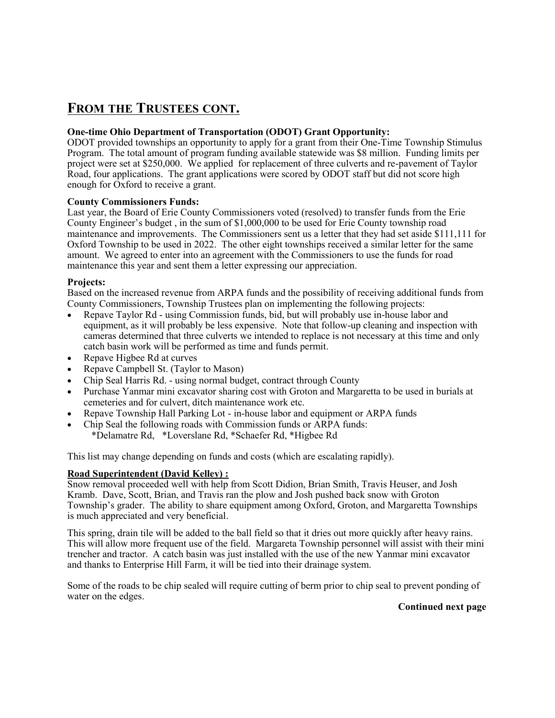# **FROM THE TRUSTEES CONT.**

#### **One-time Ohio Department of Transportation (ODOT) Grant Opportunity:**

ODOT provided townships an opportunity to apply for a grant from their One-Time Township Stimulus Program. The total amount of program funding available statewide was \$8 million. Funding limits per project were set at \$250,000. We applied for replacement of three culverts and re-pavement of Taylor Road, four applications. The grant applications were scored by ODOT staff but did not score high enough for Oxford to receive a grant.

#### **County Commissioners Funds:**

Last year, the Board of Erie County Commissioners voted (resolved) to transfer funds from the Erie County Engineer's budget , in the sum of \$1,000,000 to be used for Erie County township road maintenance and improvements. The Commissioners sent us a letter that they had set aside \$111,111 for Oxford Township to be used in 2022. The other eight townships received a similar letter for the same amount. We agreed to enter into an agreement with the Commissioners to use the funds for road maintenance this year and sent them a letter expressing our appreciation.

#### **Projects:**

Based on the increased revenue from ARPA funds and the possibility of receiving additional funds from County Commissioners, Township Trustees plan on implementing the following projects:

- Repave Taylor Rd using Commission funds, bid, but will probably use in-house labor and equipment, as it will probably be less expensive. Note that follow-up cleaning and inspection with cameras determined that three culverts we intended to replace is not necessary at this time and only catch basin work will be performed as time and funds permit.
- Repave Higbee Rd at curves
- Repave Campbell St. (Taylor to Mason)
- Chip Seal Harris Rd. using normal budget, contract through County
- Purchase Yanmar mini excavator sharing cost with Groton and Margaretta to be used in burials at cemeteries and for culvert, ditch maintenance work etc.
- Repave Township Hall Parking Lot in-house labor and equipment or ARPA funds
- Chip Seal the following roads with Commission funds or ARPA funds: \*Delamatre Rd, \*Loverslane Rd, \*Schaefer Rd, \*Higbee Rd

This list may change depending on funds and costs (which are escalating rapidly).

#### **Road Superintendent (David Kelley) :**

Snow removal proceeded well with help from Scott Didion, Brian Smith, Travis Heuser, and Josh Kramb. Dave, Scott, Brian, and Travis ran the plow and Josh pushed back snow with Groton Township's grader. The ability to share equipment among Oxford, Groton, and Margaretta Townships is much appreciated and very beneficial.

This spring, drain tile will be added to the ball field so that it dries out more quickly after heavy rains. This will allow more frequent use of the field. Margareta Township personnel will assist with their mini trencher and tractor. A catch basin was just installed with the use of the new Yanmar mini excavator and thanks to Enterprise Hill Farm, it will be tied into their drainage system.

Some of the roads to be chip sealed will require cutting of berm prior to chip seal to prevent ponding of water on the edges.

**Continued next page**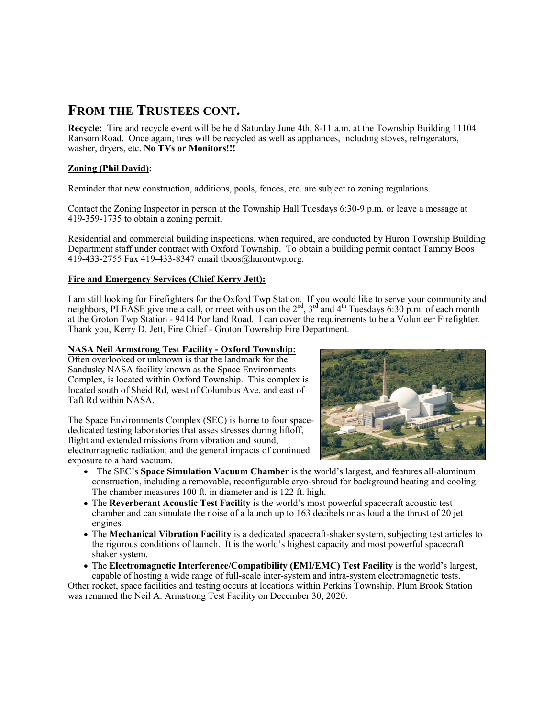# **FROM THE TRUSTEES CONT.**

**Recycle:** Tire and recycle event will be held Saturday June 4th, 8-11 a.m. at the Township Building 11104 Ransom Road. Once again, tires will be recycled as well as appliances, including stoves, refrigerators, washer, dryers, etc. **No TVs or Monitors!!!**

#### **Zoning (Phil David):**

Reminder that new construction, additions, pools, fences, etc. are subject to zoning regulations.

Contact the Zoning Inspector in person at the Township Hall Tuesdays 6:30-9 p.m. or leave a message at 419-359-1735 to obtain a zoning permit.

Residential and commercial building inspections, when required, are conducted by Huron Township Building Department staff under contract with Oxford Township. To obtain a building permit contact Tammy Boos 419-433-2755 Fax 419-433-8347 email tboos@hurontwp.org.

#### **Fire and Emergency Services (Chief Kerry Jett):**

I am still looking for Firefighters for the Oxford Twp Station. If you would like to serve your community and neighbors, PLEASE give me a call, or meet with us on the  $2<sup>nd</sup>$ ,  $3<sup>rd</sup>$  and  $4<sup>th</sup>$  Tuesdays 6:30 p.m. of each month at the Groton Twp Station - 9414 Portland Road. I can cover the requirements to be a Volunteer Firefighter. Thank you, Kerry D. Jett, Fire Chief - Groton Township Fire Department.

#### **NASA Neil Armstrong Test Facility - Oxford Township:**

Often overlooked or unknown is that the landmark for the Sandusky NASA facility known as the Space Environments Complex, is located within Oxford Township. This complex is located south of Sheid Rd, west of Columbus Ave, and east of Taft Rd within NASA.

The Space Environments Complex (SEC) is home to four spacededicated testing laboratories that asses stresses during liftoff, flight and extended missions from vibration and sound, electromagnetic radiation, and the general impacts of continued exposure to a hard vacuum.



- The SEC's **Space Simulation Vacuum Chamber** is the world's largest, and features all-aluminum construction, including a removable, reconfigurable cryo-shroud for background heating and cooling. The chamber measures 100 ft. in diameter and is 122 ft. high.
- The **Reverberant Acoustic Test Facility** is the world's most powerful spacecraft acoustic test chamber and can simulate the noise of a launch up to 163 decibels or as loud a the thrust of 20 jet engines.
- The **Mechanical Vibration Facility** is a dedicated spacecraft-shaker system, subjecting test articles to the rigorous conditions of launch. It is the world's highest capacity and most powerful spacecraft shaker system.
- The **Electromagnetic Interference/Compatibility (EMI/EMC) Test Facility** is the world's largest, capable of hosting a wide range of full-scale inter-system and intra-system electromagnetic tests.

Other rocket, space facilities and testing occurs at locations within Perkins Township. Plum Brook Station was renamed the Neil A. Armstrong Test Facility on December 30, 2020.